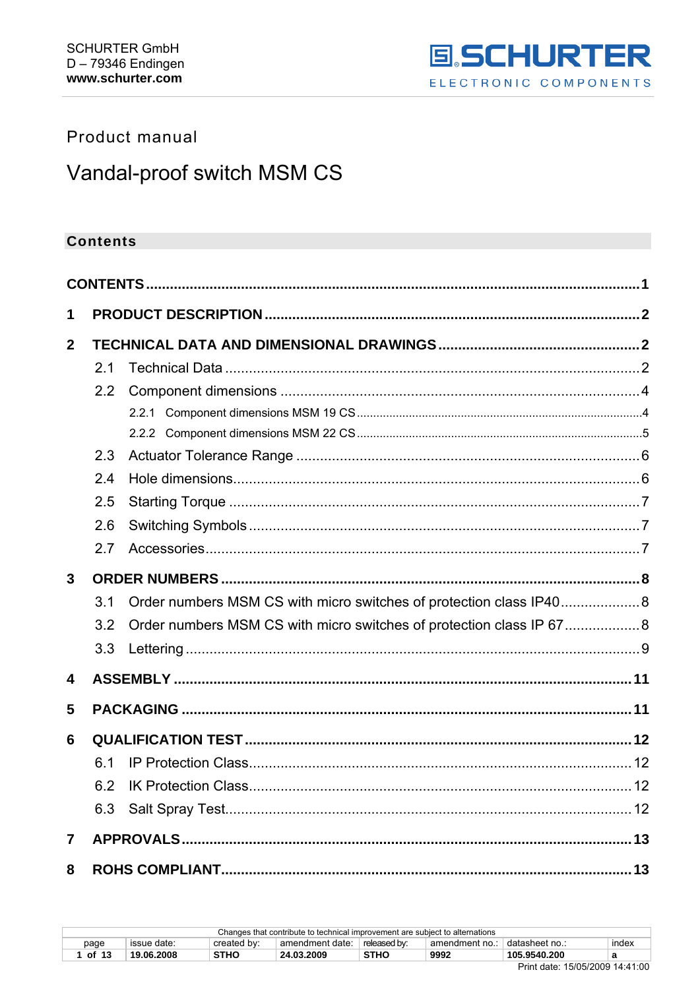

# <span id="page-0-0"></span>Product manual

# Vandal-proof switch MSM CS

# **Contents**

| 1            |     |                                                                     |  |
|--------------|-----|---------------------------------------------------------------------|--|
| $\mathbf{2}$ |     |                                                                     |  |
|              | 2.1 |                                                                     |  |
|              | 2.2 |                                                                     |  |
|              |     |                                                                     |  |
|              |     |                                                                     |  |
|              | 2.3 |                                                                     |  |
|              | 2.4 |                                                                     |  |
|              | 2.5 |                                                                     |  |
|              | 2.6 |                                                                     |  |
|              | 2.7 |                                                                     |  |
| $\mathbf{3}$ |     |                                                                     |  |
|              | 3.1 | Order numbers MSM CS with micro switches of protection class IP40 8 |  |
|              | 3.2 | Order numbers MSM CS with micro switches of protection class IP 678 |  |
|              | 3.3 |                                                                     |  |
| 4            |     |                                                                     |  |
| 5            |     |                                                                     |  |
| 6            |     |                                                                     |  |
|              | 6.1 |                                                                     |  |
|              | 6.2 |                                                                     |  |
|              | 6.3 |                                                                     |  |
| 7            |     |                                                                     |  |
| 8            |     |                                                                     |  |

| Changes that contribute to technical improvement are subject to alternations |                                                                                                            |             |            |             |      |              |  |  |  |
|------------------------------------------------------------------------------|------------------------------------------------------------------------------------------------------------|-------------|------------|-------------|------|--------------|--|--|--|
| page                                                                         | released by:<br>datasheet no.:<br>created by:<br>amendment date:<br>index<br>issue date:<br>amendment no.: |             |            |             |      |              |  |  |  |
| of 13                                                                        | 19.06.2008                                                                                                 | <b>STHO</b> | 24.03.2009 | <b>STHO</b> | 9992 | 105.9540.200 |  |  |  |
| P: I I I. 1.1.0.00000111100                                                  |                                                                                                            |             |            |             |      |              |  |  |  |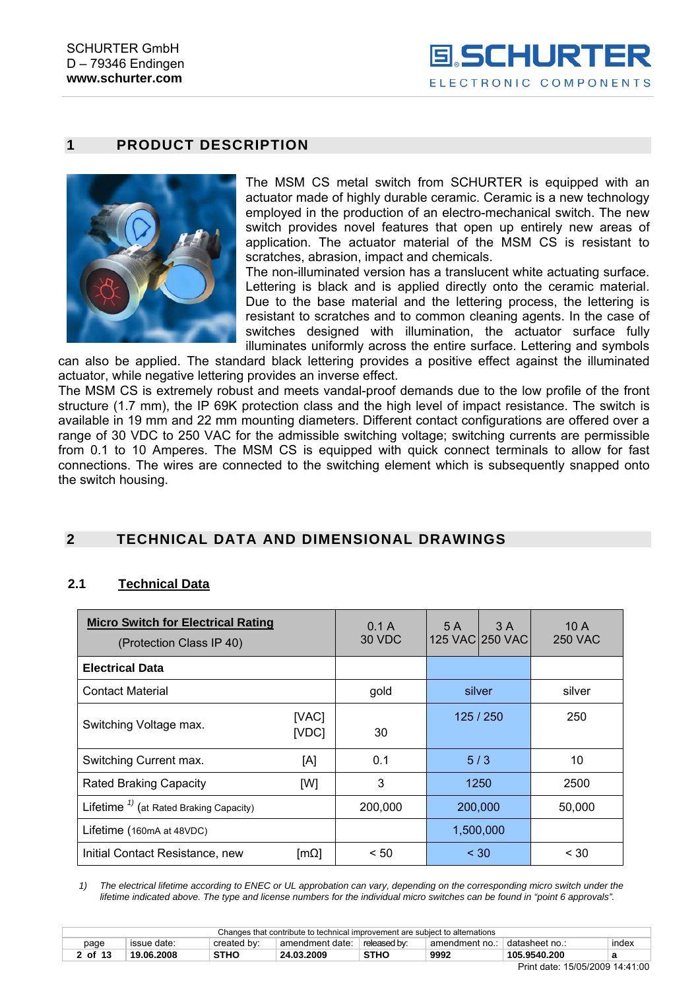# <span id="page-1-0"></span>**1 PRODUCT DESCRIPTION**



The MSM CS metal switch from SCHURTER is equipped with an actuator made of highly durable ceramic. Ceramic is a new technology employed in the production of an electro-mechanical switch. The new switch provides novel features that open up entirely new areas of application. The actuator material of the MSM CS is resistant to scratches, abrasion, impact and chemicals.

The non-illuminated version has a translucent white actuating surface. Lettering is black and is applied directly onto the ceramic material. Due to the base material and the lettering process, the lettering is resistant to scratches and to common cleaning agents. In the case of switches designed with illumination, the actuator surface fully illuminates uniformly across the entire surface. Lettering and symbols

can also be applied. The standard black lettering provides a positive effect against the illuminated actuator, while negative lettering provides an inverse effect.

The MSM CS is extremely robust and meets vandal-proof demands due to the low profile of the front structure (1.7 mm), the IP 69K protection class and the high level of impact resistance. The switch is available in 19 mm and 22 mm mounting diameters. Different contact configurations are offered over a range of 30 VDC to 250 VAC for the admissible switching voltage; switching currents are permissible from 0.1 to 10 Amperes. The MSM CS is equipped with quick connect terminals to allow for fast connections. The wires are connected to the switching element which is subsequently snapped onto the switch housing.

# **2 TECHNICAL DATA AND DIMENSIONAL DRAWINGS**

#### **2.1 Technical Data**

| <b>Micro Switch for Electrical Rating</b><br>(Protection Class IP 40) |                         | 0.1A<br>30 VDC | 5 A       | 3 A<br>125 VAC 250 VAC | 10A<br><b>250 VAC</b> |
|-----------------------------------------------------------------------|-------------------------|----------------|-----------|------------------------|-----------------------|
| <b>Electrical Data</b>                                                |                         |                |           |                        |                       |
| <b>Contact Material</b>                                               | gold                    |                | silver    | silver                 |                       |
| Switching Voltage max.                                                | [VAC]<br>[VDC]          | 30             | 125/250   |                        | 250                   |
| Switching Current max.                                                | [A]                     | 0.1            |           | 5/3                    | 10                    |
| <b>Rated Braking Capacity</b>                                         | [W]                     | 3              |           | 1250                   | 2500                  |
| Lifetime <sup>1)</sup> (at Rated Braking Capacity)                    |                         | 200,000        | 200,000   |                        | 50,000                |
| Lifetime (160mA at 48VDC)                                             |                         |                | 1,500,000 |                        |                       |
| Initial Contact Resistance, new                                       | $\lceil m\Omega \rceil$ | < 50           |           | $<$ 30                 | $<$ 30                |

*1) The electrical lifetime according to ENEC or UL approbation can vary, depending on the corresponding micro switch under the lifetime indicated above. The type and license numbers for the individual micro switches can be found in "point 6 approvals".* 

| Changes that contribute to technical improvement are subject to alternations |                                                                                                           |      |            |             |      |              |   |  |  |
|------------------------------------------------------------------------------|-----------------------------------------------------------------------------------------------------------|------|------------|-------------|------|--------------|---|--|--|
| page                                                                         | datasheet no.:<br>released by:<br>index<br>created by:<br>amendment date:<br>issue date:<br>amendment no. |      |            |             |      |              |   |  |  |
| 2 of 13                                                                      | 19.06.2008                                                                                                | STHO | 24.03.2009 | <b>STHC</b> | 9992 | 105.9540.200 | а |  |  |
|                                                                              |                                                                                                           |      |            |             |      |              |   |  |  |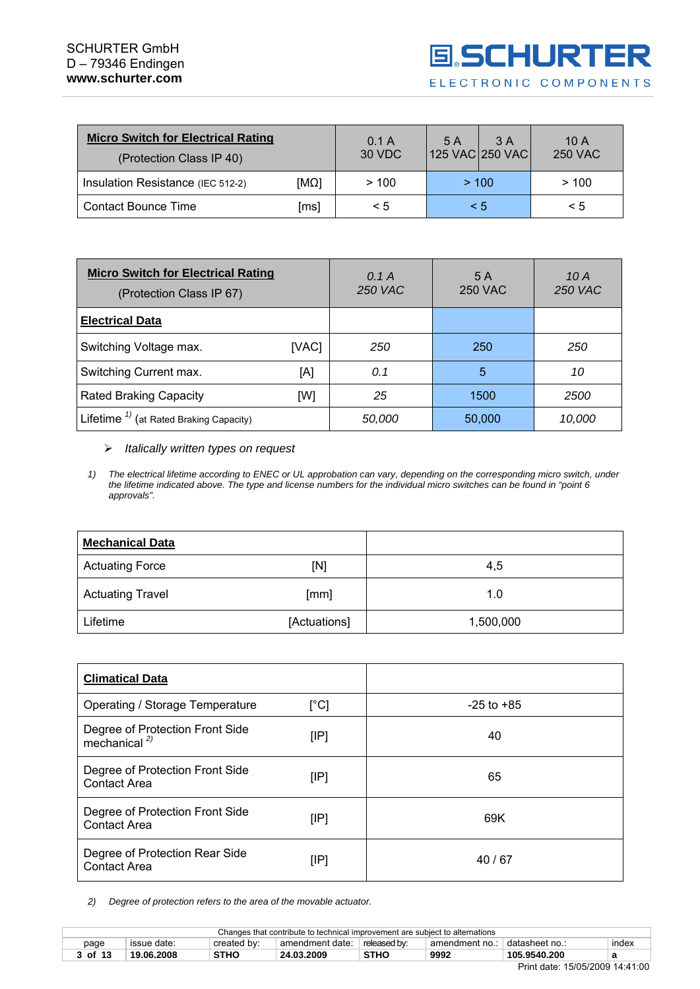| <b>Micro Switch for Electrical Rating</b><br>(Protection Class IP 40) | 0.1 A<br>30 VDC | 5 A<br>125 VAC 250 VAC | 3 A | 10A<br><b>250 VAC</b> |          |
|-----------------------------------------------------------------------|-----------------|------------------------|-----|-----------------------|----------|
| Insulation Resistance (IEC 512-2)                                     | $[M\Omega]$     | >100                   |     | > 100                 | >100     |
| <b>Contact Bounce Time</b>                                            | [ms]            | $\leq 5$               |     | < 5                   | $\leq 5$ |

| <b>Micro Switch for Electrical Rating</b><br>(Protection Class IP 67) |       | 0.1A<br><b>250 VAC</b> | 5 A<br><b>250 VAC</b> | 10 A<br><b>250 VAC</b> |
|-----------------------------------------------------------------------|-------|------------------------|-----------------------|------------------------|
| <b>Electrical Data</b>                                                |       |                        |                       |                        |
| Switching Voltage max.                                                | [VAC] | 250                    | 250                   | 250                    |
| Switching Current max.<br>[A]                                         |       | 0.1                    | 5                     | 10                     |
| <b>Rated Braking Capacity</b>                                         | [W]   | 25                     | 1500                  | 2500                   |
| Lifetime <sup><math>1)</math></sup> (at Rated Braking Capacity)       |       | 50,000                 | 50,000                | 10,000                 |

#### ¾ *Italically written types on request*

*1) The electrical lifetime according to ENEC or UL approbation can vary, depending on the corresponding micro switch, under the lifetime indicated above. The type and license numbers for the individual micro switches can be found in "point 6 approvals".* 

| <b>Mechanical Data</b>  |              |           |
|-------------------------|--------------|-----------|
| <b>Actuating Force</b>  | [N]          | 4,5       |
| <b>Actuating Travel</b> | [mm]         | 1.0       |
| Lifetime                | [Actuations] | 1,500,000 |

| <b>Climatical Data</b>                                      |      |                |
|-------------------------------------------------------------|------|----------------|
| Operating / Storage Temperature                             | [°C] | $-25$ to $+85$ |
| Degree of Protection Front Side<br>mechanical <sup>2)</sup> | [IP] | 40             |
| Degree of Protection Front Side<br><b>Contact Area</b>      | [IP] | 65             |
| Degree of Protection Front Side<br><b>Contact Area</b>      | [IP] | 69K            |
| Degree of Protection Rear Side<br><b>Contact Area</b>       | [IP] | 40/67          |

*2) Degree of protection refers to the area of the movable actuator.* 

| Changes that contribute to technical improvement are subiect to alternations                                      |            |             |            |             |      |              |  |  |  |
|-------------------------------------------------------------------------------------------------------------------|------------|-------------|------------|-------------|------|--------------|--|--|--|
| released by:<br>datasheet no.:<br>index<br>issue date:<br>created by:<br>amendment date:<br>amendment no.<br>page |            |             |            |             |      |              |  |  |  |
| 3 of 13                                                                                                           | 19.06.2008 | <b>STHO</b> | 24.03.2009 | <b>STHC</b> | 9992 | 105.9540.200 |  |  |  |
|                                                                                                                   |            |             |            |             |      |              |  |  |  |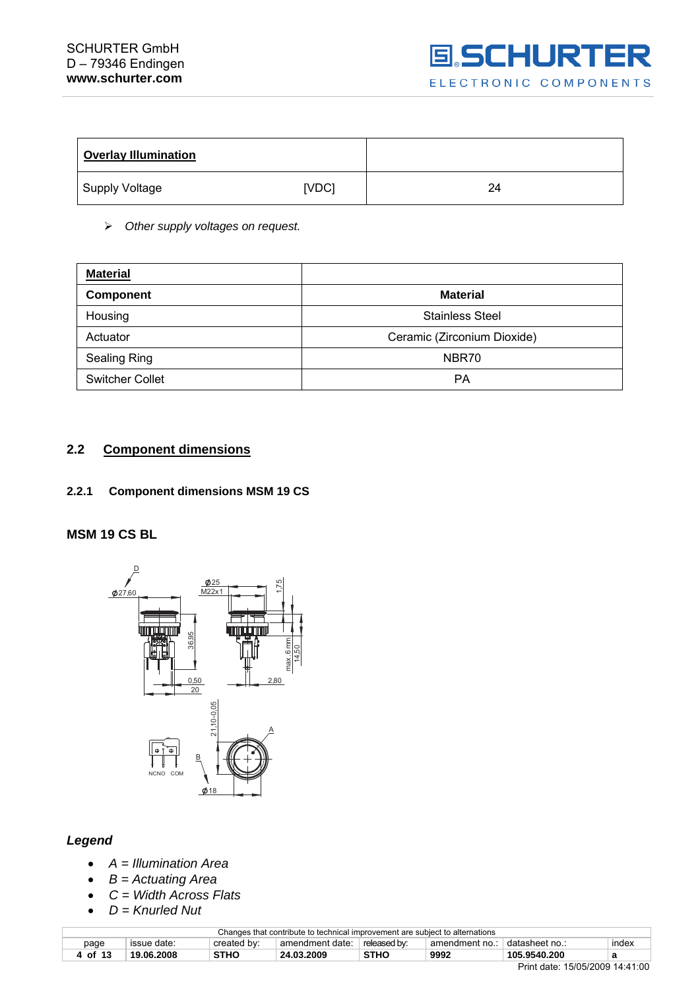

<span id="page-3-0"></span>

| <b>Overlay Illumination</b> |       |    |
|-----------------------------|-------|----|
| Supply Voltage              | [VDC] | 24 |

¾ *Other supply voltages on request.* 

| <b>Material</b>        |                             |
|------------------------|-----------------------------|
| <b>Component</b>       | <b>Material</b>             |
| Housing                | <b>Stainless Steel</b>      |
| Actuator               | Ceramic (Zirconium Dioxide) |
| <b>Sealing Ring</b>    | NBR70                       |
| <b>Switcher Collet</b> | PА                          |

#### **2.2 Component dimensions**

#### **2.2.1 Component dimensions MSM 19 CS**

#### **MSM 19 CS BL**



#### *Legend*

- *A = Illumination Area*
- *B = Actuating Area*
- *C = Width Across Flats*
- *D = Knurled Nut*

| Changes that contribute to technical improvement are subject to alternations |                                                                                                            |             |            |             |      |              |   |  |  |
|------------------------------------------------------------------------------|------------------------------------------------------------------------------------------------------------|-------------|------------|-------------|------|--------------|---|--|--|
| page                                                                         | index<br>released by:<br>' datasheet no.:<br>issue date:<br>created by:<br>amendment date:<br>amendment no |             |            |             |      |              |   |  |  |
| of 13                                                                        | 19.06.2008                                                                                                 | <b>STHO</b> | 24.03.2009 | <b>STHC</b> | 9992 | 105.9540.200 | а |  |  |
| $1 - 10 - 100000011111000$                                                   |                                                                                                            |             |            |             |      |              |   |  |  |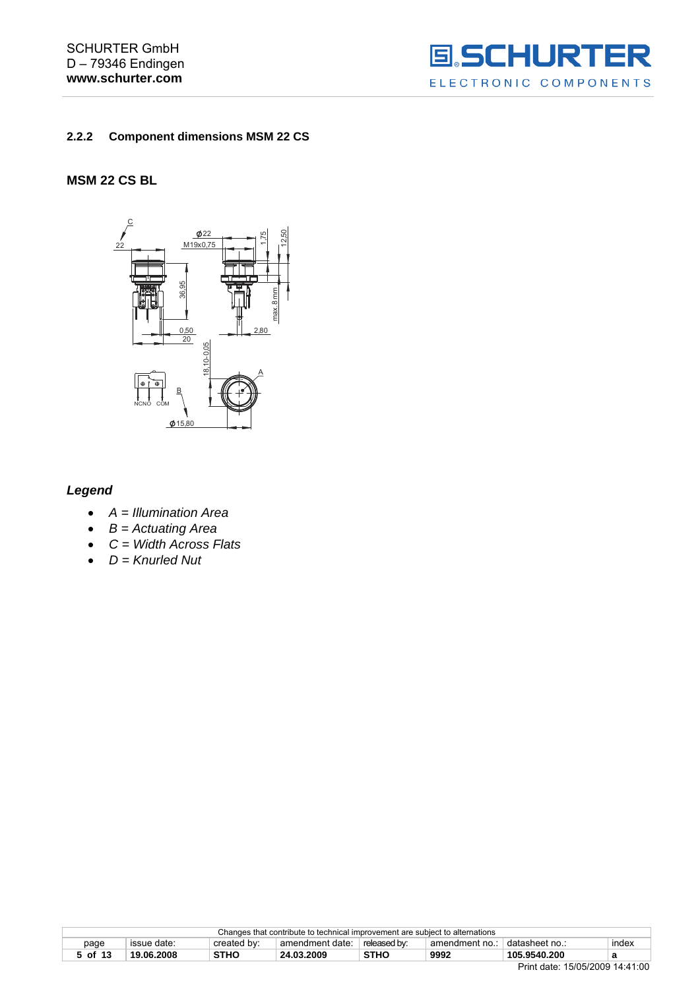<span id="page-4-0"></span>SCHURTER GmbH D – 79346 Endingen **www.schurter.com** 



#### **2.2.2 Component dimensions MSM 22 CS**

#### **MSM 22 CS BL**



#### *Legend*

- *A = Illumination Area*
- *B = Actuating Area*
- *C = Width Across Flats*
- *D = Knurled Nut*

| Changes that contribute to technical improvement are subject to alternations |             |             |                 |              |                |                                                                                                                 |       |
|------------------------------------------------------------------------------|-------------|-------------|-----------------|--------------|----------------|-----------------------------------------------------------------------------------------------------------------|-------|
| page                                                                         | issue date: | created by: | amendment date: | released by: | amendment no.: | † datasheet no…                                                                                                 | index |
| 5 of 13                                                                      | 19.06.2008  | <b>STHO</b> | 24.03.2009      | <b>STHO</b>  | 9992           | 105.9540.200                                                                                                    | а     |
|                                                                              |             |             |                 |              |                | $D_{1}$ $I_{2}$ $I_{n}$ $I_{n}$ $I_{n}$ $I_{n}$ $I_{n}$ $I_{n}$ $I_{n}$ $I_{n}$ $I_{n}$ $I_{n}$ $I_{n}$ $I_{n}$ |       |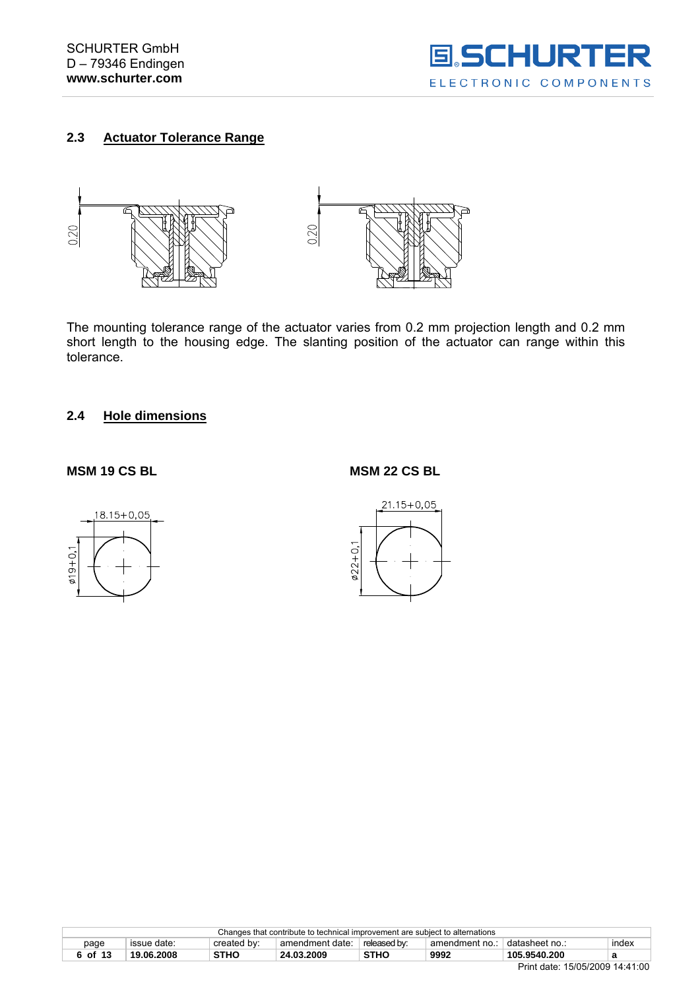

# <span id="page-5-0"></span>**2.3 Actuator Tolerance Range**



The mounting tolerance range of the actuator varies from 0.2 mm projection length and 0.2 mm short length to the housing edge. The slanting position of the actuator can range within this tolerance.

#### **2.4 Hole dimensions**

#### **MSM 19 CS BL MSM 22 CS BL**





|         |             |             | Changes that contribute to technical improvement are subject to alternations |              |                |               |       |
|---------|-------------|-------------|------------------------------------------------------------------------------|--------------|----------------|---------------|-------|
| page    | issue date: | created by: | amendment date:                                                              | released by: | amendment no.: | datasheet no. | index |
| 6 of 13 | 19.06.2008  | <b>STHO</b> | 24.03.2009                                                                   | <b>STHO</b>  | 9992           | 105.9540.200  |       |
|         |             |             |                                                                              |              |                |               |       |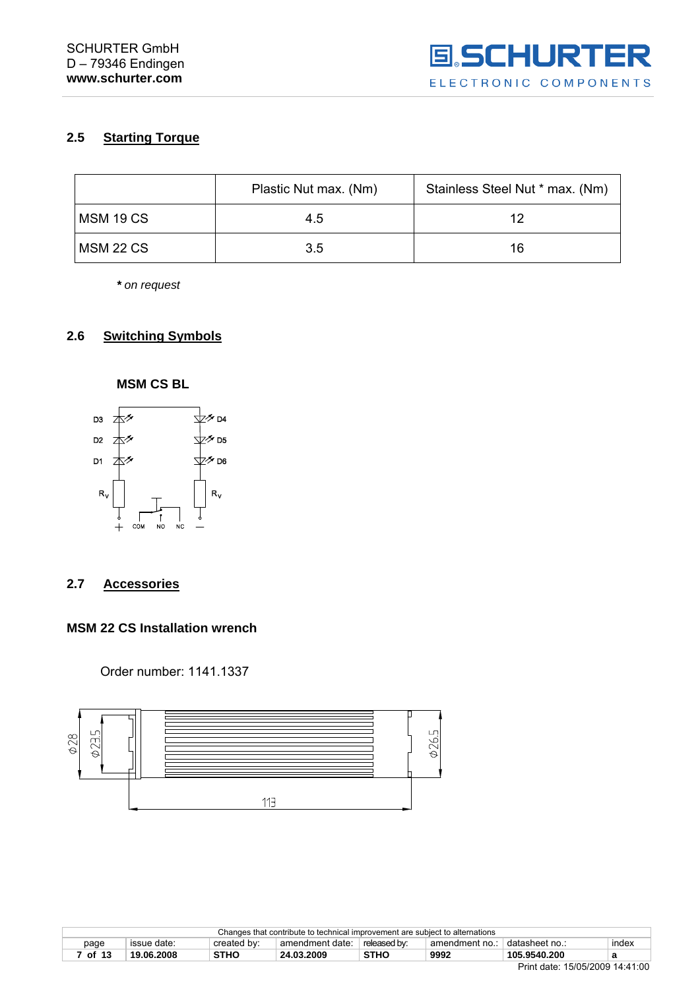

# <span id="page-6-0"></span>**2.5 Starting Torque**

|           | Plastic Nut max. (Nm) | Stainless Steel Nut * max. (Nm) |
|-----------|-----------------------|---------------------------------|
| MSM 19 CS | 4.5                   | 19                              |
| MSM 22 CS | 3.5                   | 16                              |

*\* on request* 

#### **2.6 Switching Symbols**



#### **2.7 Accessories**

#### **MSM 22 CS Installation wrench**

Order number: 1141.1337



|       |             |             | Changes that contribute to technical improvement are subject to alternations |              |                |                 |       |
|-------|-------------|-------------|------------------------------------------------------------------------------|--------------|----------------|-----------------|-------|
| page  | issue date: | created by: | amendment date:                                                              | released by: | amendment no.: | ˈdatasheet no.: | index |
| of 13 | 19.06.2008  | <b>STHO</b> | 24.03.2009                                                                   | <b>STHC</b>  | 9992           | 105.9540.200    | а     |
|       |             |             |                                                                              |              |                | _               |       |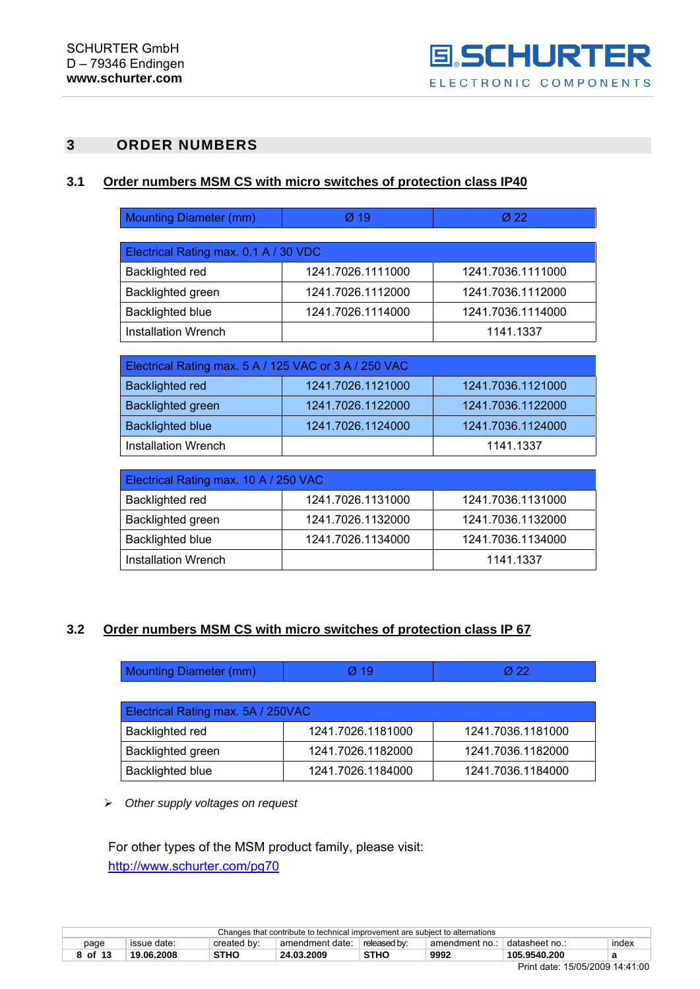# <span id="page-7-0"></span>**3 ORDER NUMBERS**

#### **3.1 Order numbers MSM CS with micro switches of protection class IP40**

| <b>Mounting Diameter (mm)</b> | $\varnothing$ 19 |  |
|-------------------------------|------------------|--|
|-------------------------------|------------------|--|

| Electrical Rating max. 0.1 A / 30 VDC |                   |                   |  |  |
|---------------------------------------|-------------------|-------------------|--|--|
| Backlighted red                       | 1241.7026.1111000 | 1241.7036.1111000 |  |  |
| Backlighted green                     | 1241.7026.1112000 | 1241.7036.1112000 |  |  |
| <b>Backlighted blue</b>               | 1241.7026.1114000 | 1241.7036.1114000 |  |  |
| <b>Installation Wrench</b>            |                   | 1141.1337         |  |  |

| Electrical Rating max. 5 A / 125 VAC or 3 A / 250 VAC |                   |                   |  |
|-------------------------------------------------------|-------------------|-------------------|--|
| <b>Backlighted red</b>                                | 1241.7026.1121000 | 1241.7036.1121000 |  |
| <b>Backlighted green</b>                              | 1241.7026.1122000 | 1241.7036.1122000 |  |
| <b>Backlighted blue</b>                               | 1241.7026.1124000 | 1241.7036.1124000 |  |
| Installation Wrench                                   |                   | 1141.1337         |  |

| Electrical Rating max. 10 A / 250 VAC |                   |                   |  |  |
|---------------------------------------|-------------------|-------------------|--|--|
| Backlighted red                       | 1241.7026.1131000 | 1241.7036.1131000 |  |  |
| Backlighted green                     | 1241.7026.1132000 | 1241.7036.1132000 |  |  |
| <b>Backlighted blue</b>               | 1241.7026.1134000 | 1241.7036.1134000 |  |  |
| <b>Installation Wrench</b>            |                   | 1141.1337         |  |  |

#### **3.2 Order numbers MSM CS with micro switches of protection class IP 67**

| Mounting Diameter (mm) | Ø 10 | Ø 22 |
|------------------------|------|------|
|------------------------|------|------|

| Electrical Rating max. 5A / 250VAC |                   |                   |  |
|------------------------------------|-------------------|-------------------|--|
| Backlighted red                    | 1241.7026.1181000 | 1241.7036.1181000 |  |
| <b>Backlighted green</b>           | 1241.7026.1182000 | 1241.7036.1182000 |  |
| <b>Backlighted blue</b>            | 1241.7026.1184000 | 1241.7036.1184000 |  |

¾ *Other supply voltages on request* 

For other types of the MSM product family, please visit: <http://www.schurter.com/pg70>

|         |             |             | Changes that contribute to technical improvement are subject to alternations |              |              |                  |       |
|---------|-------------|-------------|------------------------------------------------------------------------------|--------------|--------------|------------------|-------|
| page    | issue date: | created by: | amendment date:                                                              | released by: | amendment no | ' datasheet no.: | index |
| 8 of 13 | 19.06.2008  | STHO        | 24.03.2009                                                                   | <b>STHC</b>  | 9992         | 105.9540.200     |       |
|         |             |             |                                                                              |              |              | _                |       |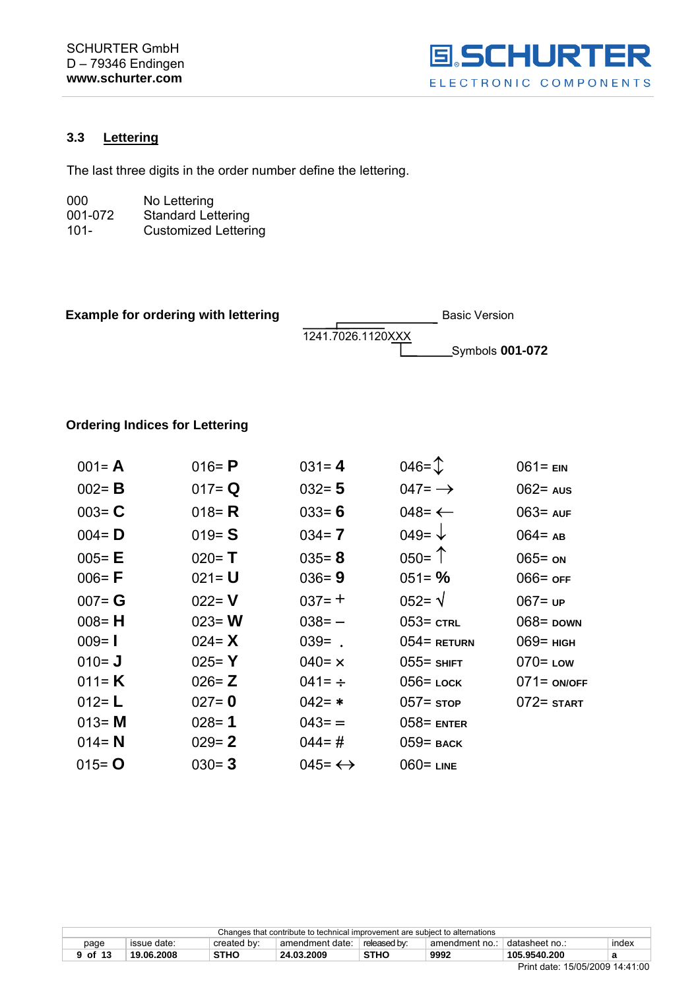

# <span id="page-8-0"></span>**3.3 Lettering**

The last three digits in the order number define the lettering.

| 000     | No Lettering                |
|---------|-----------------------------|
| 001-072 | <b>Standard Lettering</b>   |
| $101 -$ | <b>Customized Lettering</b> |

| <b>Example for ordering with lettering</b> |                   | <b>Basic Version</b> |
|--------------------------------------------|-------------------|----------------------|
|                                            | 1241.7026.1120XXX |                      |
|                                            |                   |                      |

# **Ordering Indices for Lettering**

| $001 = A$ | 016 = $P$ | $031 = 4$              | $046 = \mathcal{D}$ | $061 = EN$     |
|-----------|-----------|------------------------|---------------------|----------------|
| $002 = B$ | $017 = Q$ | $032 = 5$              | 047= $\rightarrow$  | $062$ aus      |
| $003 = C$ | 018 = $R$ | $033 = 6$              | 048= $\leftarrow$   | $063 = AUF$    |
| $004 = D$ | $019 = S$ | $034 = 7$              | 049= $\downarrow$   | $064 = AB$     |
| $005 - E$ | $020 = T$ | $035 = 8$              | $050 =$ $\uparrow$  | $065 =$ ON     |
| $006 = F$ | $021 = U$ | $036 = 9$              | $051 = \%$          | $066 =$ off    |
| $007 = G$ | $022 = V$ | $037 = +$              | $052 = \sqrt{ }$    | $067 = UP$     |
| $008 = H$ | $023 = W$ | $038 = -$              | $053 =$ CTRL        | $068$ = DOWN   |
| $009 = 1$ | 024 = $X$ | $039 = .$              | $054$ = RETURN      | $069$ = $H$    |
| $010 = J$ | $025 = Y$ | $040 = x$              | $055$ = SHIFT       | $070 =$ Low    |
| 011= $K$  | $026 = Z$ | 041= $\div$            | $056$ = LOCК        | $071 =$ ON/OFF |
| $012 = L$ | $027 = 0$ | $042 = *$              | $057 =$ stop        | $072 =$ START  |
| $013 = M$ | $028 = 1$ | $043 =$                | $058$ = ENTER       |                |
| $014 = N$ | $029 = 2$ | $044 = #$              | $059$ = BACK        |                |
| $015 = 0$ | $030 = 3$ | 045= $\leftrightarrow$ | $060$ = LINE        |                |

| Changes that contribute to technical improvement are subject to alternations                                       |  |  |  |  |  |          |  |
|--------------------------------------------------------------------------------------------------------------------|--|--|--|--|--|----------|--|
| created by:<br>released by:<br>datasheet no.:<br>index<br>amendment date:<br>page<br>issue date:<br>amendment no.: |  |  |  |  |  |          |  |
| <b>STHO</b><br>9992<br>STHO<br>105.9540.200<br>19.06.2008<br>24.03.2009<br>9 of 13                                 |  |  |  |  |  |          |  |
|                                                                                                                    |  |  |  |  |  | ___<br>. |  |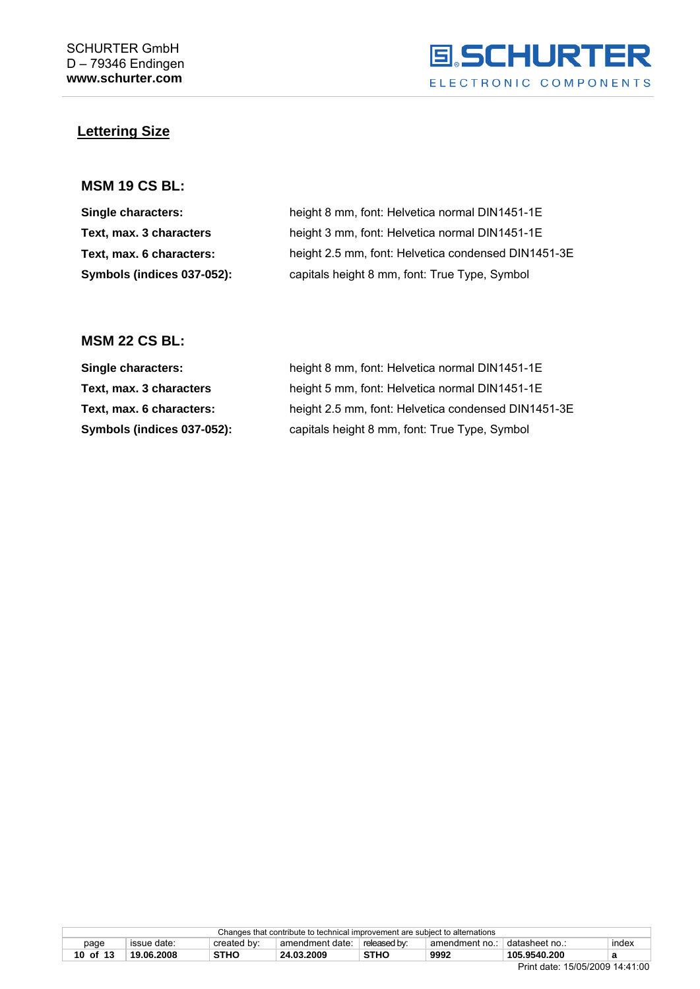

# **Lettering Size**

#### **MSM 19 CS BL:**

| Single characters:         | height 8 mm, font: Helvetica normal DIN1451-1E      |
|----------------------------|-----------------------------------------------------|
| Text, max. 3 characters    | height 3 mm, font: Helvetica normal DIN1451-1E      |
| Text, max. 6 characters:   | height 2.5 mm, font: Helvetica condensed DIN1451-3E |
| Symbols (indices 037-052): | capitals height 8 mm, font: True Type, Symbol       |

### **MSM 22 CS BL:**

| <b>Single characters:</b>  | height 8 mm, font: Helvetica normal DIN1451-1E      |
|----------------------------|-----------------------------------------------------|
| Text, max. 3 characters    | height 5 mm, font: Helvetica normal DIN1451-1E      |
| Text, max. 6 characters:   | height 2.5 mm, font: Helvetica condensed DIN1451-3E |
| Symbols (indices 037-052): | capitals height 8 mm, font: True Type, Symbol       |

|                                                                                                           | Changes that contribute to technical improvement are subject to alternations |  |  |  |       |  |
|-----------------------------------------------------------------------------------------------------------|------------------------------------------------------------------------------|--|--|--|-------|--|
| released by:<br>+ datasheet no<br>issue date:<br>created by:<br>amendment date:<br>amendment no.:<br>page |                                                                              |  |  |  | index |  |
| <b>STHC</b><br><b>STHO</b><br>9992<br>105.9540.200<br>10 of 13<br>19.06.2008<br>24.03.2009                |                                                                              |  |  |  |       |  |
|                                                                                                           |                                                                              |  |  |  |       |  |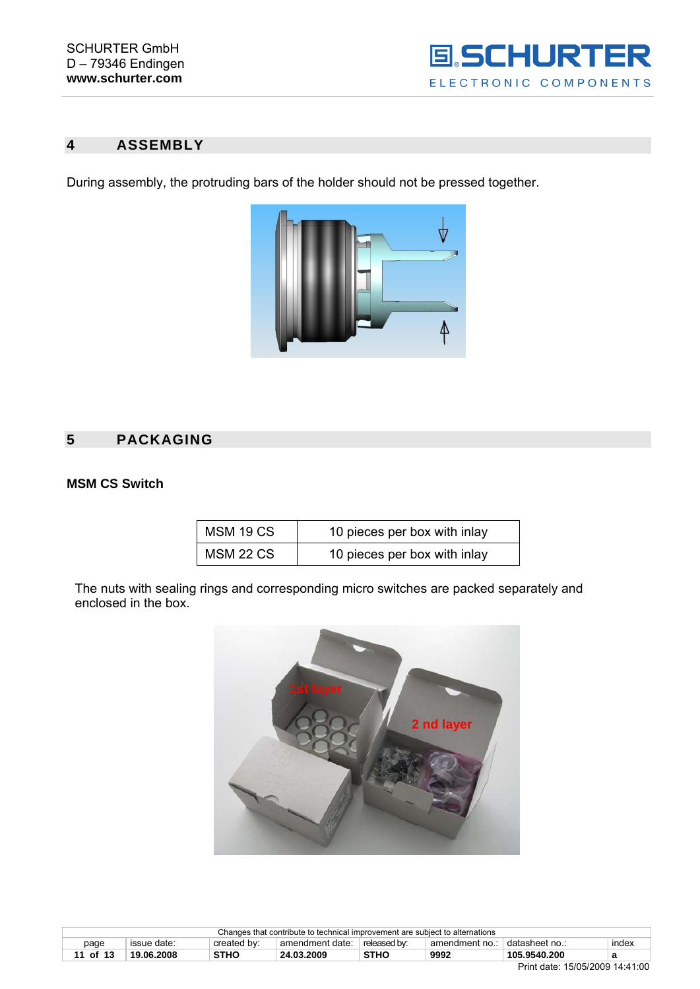

# <span id="page-10-0"></span>**4 ASSEMBLY**

During assembly, the protruding bars of the holder should not be pressed together.



# **5 PACKAGING**

# **MSM CS Switch**

| MSM 19 CS | 10 pieces per box with inlay |
|-----------|------------------------------|
| MSM 22 CS | 10 pieces per box with inlay |

The nuts with sealing rings and corresponding micro switches are packed separately and enclosed in the box.



|                                                                                                                      | Changes that contribute to technical improvement are subject to alternations |  |  |  |  |  |  |
|----------------------------------------------------------------------------------------------------------------------|------------------------------------------------------------------------------|--|--|--|--|--|--|
| ° datasheet no.∶<br>index<br>amendment date:<br>released by:<br>created by:<br>issue date:<br>page<br>amendment no.: |                                                                              |  |  |  |  |  |  |
| <b>STHO</b><br>9992<br><b>STHC</b><br>105.9540.200<br>19.06.2008<br>24.03.2009<br>of 13<br>а                         |                                                                              |  |  |  |  |  |  |
|                                                                                                                      | P: I I I. 1.1.0.00000111100                                                  |  |  |  |  |  |  |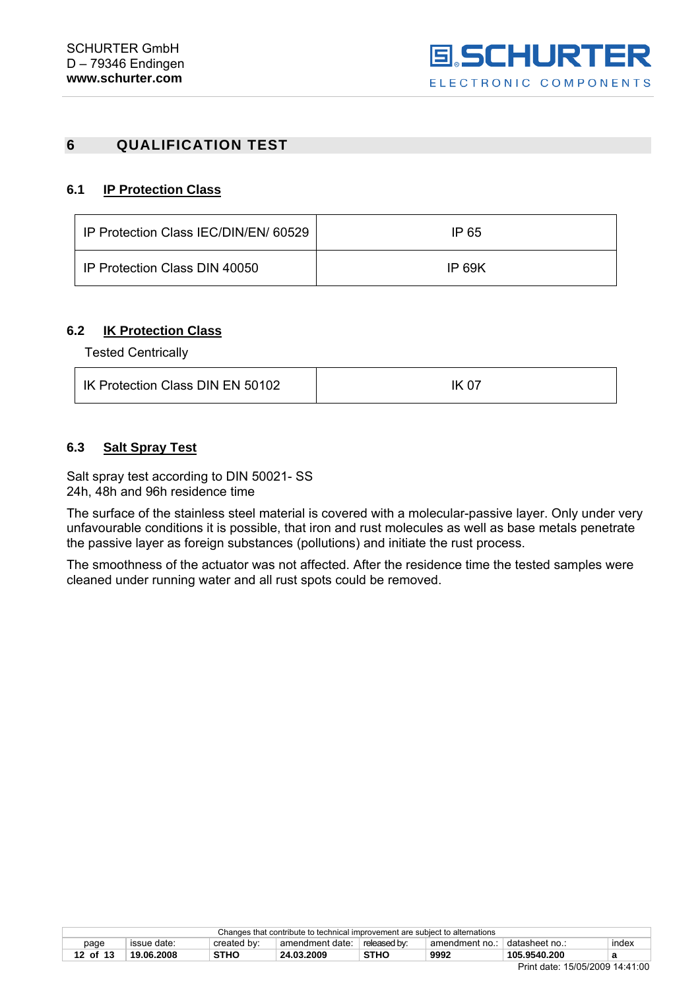# <span id="page-11-0"></span>**6 QUALIFICATION TEST**

#### **6.1 IP Protection Class**

| IP Protection Class IEC/DIN/EN/ 60529 | IP 65  |
|---------------------------------------|--------|
| IP Protection Class DIN 40050         | IP 69K |

#### **6.2 IK Protection Class**

Tested Centrically

| IK Protection Class DIN EN 50102 | IK 07 |
|----------------------------------|-------|
|                                  |       |

#### **6.3 Salt Spray Test**

Salt spray test according to DIN 50021- SS 24h, 48h and 96h residence time

The surface of the stainless steel material is covered with a molecular-passive layer. Only under very unfavourable conditions it is possible, that iron and rust molecules as well as base metals penetrate the passive layer as foreign substances (pollutions) and initiate the rust process.

The smoothness of the actuator was not affected. After the residence time the tested samples were cleaned under running water and all rust spots could be removed.

| Changes that contribute to technical improvement are subject to alternations                                       |   |  |  |  |  |  |  |
|--------------------------------------------------------------------------------------------------------------------|---|--|--|--|--|--|--|
| released by:<br>index<br>issue date:<br>amendment date:<br>⊺datasheet no.:<br>created by:<br>amendment no.<br>page |   |  |  |  |  |  |  |
| 9992<br><b>STHC</b><br><b>STHC</b><br>105.9540.200<br>12 of 13<br>19.06.2008<br>24.03.2009<br>а                    |   |  |  |  |  |  |  |
|                                                                                                                    | - |  |  |  |  |  |  |